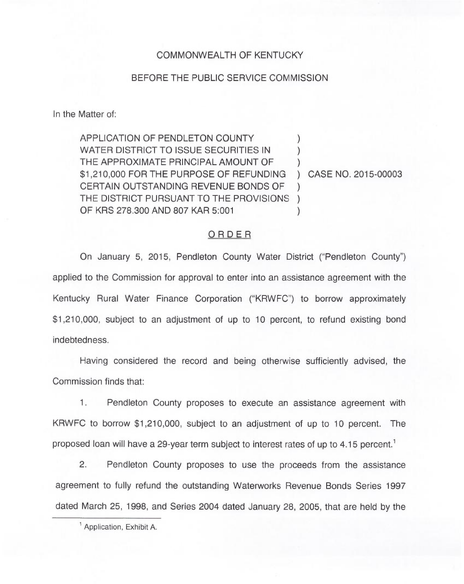## COMMONWEALTH OF KENTUCKY

## BEFORE THE PUBLIC SERVICE COMMISSION

In the Matter of:

APPLICATION OF PENDLETON COUNTY WATER DISTRICT TO ISSUE SECURITIES IN THE APPROXIMATE PRINCIPAL AMOUNT OF \$1,210,000 FOR THE PURPOSE OF REFUNDING CERTAIN OUTSTANDING REVENUE BONDS OF THE DISTRICT PURSUANT TO THE PROVISIONS ) OF KRS 278.300 AND 807 KAR 5:001 ) ) )  $\left( \right)$  $\lambda$ 

) CASE NO. 2015-00003

## ORDER

On January 5, 2015, Pendleton County Water District ("Pendleton County") applied to the Commission for approval to enter into an assistance agreement with the Kentucky Rural Water Finance Corporation ("KRWFC") to borrow approximately \$1,210,000, subject to an adjustment of up to 10 percent, to refund existing bond indebtedness.

Having considered the record and being otherwise sufficiently advised, the Commission finds that:

1. Pendleton County proposes to execute an assistance agreement with KRWFC to borrow \$1,210,000, subject to an adjustment of up to 10 percent. The proposed loan will have a 29-year term subject to interest rates of up to 4.15 percent.<sup>1</sup>

 $2.$ Pendleton County proposes to use the proceeds from the assistance agreement to fully refund the outstanding Waterworks Revenue Bonds Series 1997 dated March 25, 1998, and Series 2004 dated January 28, 2005, that are held by the

<sup>1</sup> Application, Exhibit A.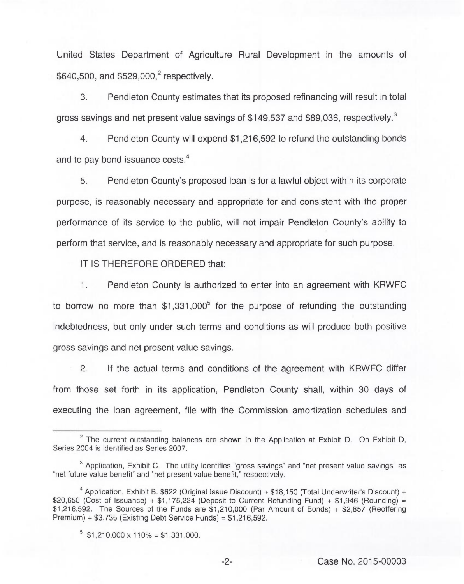United States Department of Agriculture Rural Development in the amounts of \$640,500, and \$529,000,<sup>2</sup> respectively.

3. Pendleton County estimates that its proposed refinancing will result in total gross savings and net present value savings of \$149,537 and \$89,036, respectively.<sup>3</sup>

 $4.$ Pendleton County will expend \$1,216,592 to refund the outstanding bonds and to pay bond issuance costs.<sup>4</sup>

5 Pendleton County's proposed loan is for a lawful object within its corporate purpose, is reasonably necessary and appropriate for and consistent with the proper performance of its service to the public, will not impair Pendleton County's ability to perform that service, and is reasonably necessary and appropriate for such purpose.

IT IS THEREFORE ORDERED that:

 $1.$ Pendleton County is authorized to enter into an agreement with KRWFC to borrow no more than  $$1,331,000^5$  for the purpose of refunding the outstanding indebtedness, but only under such terms and conditions as will produce both positive gross savings and net present value savings.

2. If the actual terms and conditions of the agreement with KRWFC differ from those set forth in its application, Pendleton County shall, within 30 days of executing the loan agreement, file with the Commission amortization schedules and

-2- Case No. 2015-00003

 $2$  The current outstanding balances are shown in the Application at Exhibit D. On Exhibit D. Series 2004 is identified as Series 2007.

 $3$  Application, Exhibit C. The utility identifies "gross savings" and "net present value savings" as "net future value benefit" and "net present value benefit," respectively.

Application, Exhibit B. \$622 (Original Issue Discount) + \$18,150 (Total Underwriter's Discount) + \$20,650 (Cost of Issuance) +  $$1.175,224$  (Deposit to Current Refunding Fund) +  $$1.946$  (Rounding) = \$1,216,592. The Sources of the Funds are \$1,210,000 (Par Amount of Bonds) + \$2,857 (Reoffering Premium) + \$3,735 (Existing Debt Service Funds) = \$1,216,592.

 $5$  \$1,210,000 x 110% = \$1,331,000.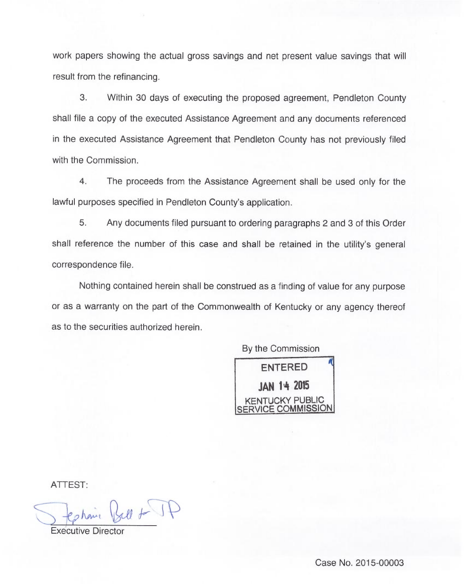work papers showing the actual gross savings and net present value savings that will result from the refinancing.

3. Within 30 days of executing the proposed agreement, Pendleton County shall file a copy of the executed Assistance Agreement and any documents referenced in the executed Assistance Agreement that Pendleton County has not previously filed with the Commission

4. The proceeds from the Assistance Agreement shall be used only for the lawful purposes specified in Pendleton County's application.

5. Any documents filed pursuant to ordering paragraphs 2 and 3 of this Order shall reference the number of this case and shall be retained in the utility's general correspondence file.

Nothing contained herein shall be construed as a finding of value for any purpose or as a warranty on the part of the Commonwealth of Kentucky or any agency thereof as to the securities authorized herein.

By the Commission



ATTEST.

J testaire Bell + JF

**Executive Dire**